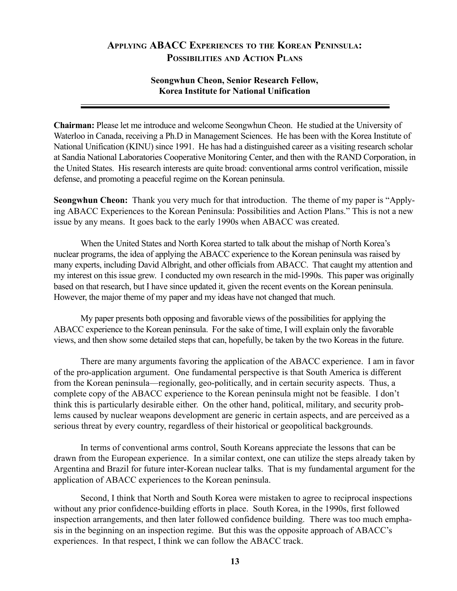## **APPLYING ABACC EXPERIENCES TO THE KOREAN PENINSULA: POSSIBILITIES AND ACTION PLANS**

## **Seongwhun Cheon, Senior Research Fellow, Korea Institute for National Unification**

**Chairman:** Please let me introduce and welcome Seongwhun Cheon. He studied at the University of Waterloo in Canada, receiving a Ph.D in Management Sciences. He has been with the Korea Institute of National Unification (KINU) since 1991. He has had a distinguished career as a visiting research scholar at Sandia National Laboratories Cooperative Monitoring Center, and then with the RAND Corporation, in the United States. His research interests are quite broad: conventional arms control verification, missile defense, and promoting a peaceful regime on the Korean peninsula.

**Seongwhun Cheon:** Thank you very much for that introduction. The theme of my paper is "Applying ABACC Experiences to the Korean Peninsula: Possibilities and Action Plans." This is not a new issue by any means. It goes back to the early 1990s when ABACC was created.

When the United States and North Korea started to talk about the mishap of North Korea's nuclear programs, the idea of applying the ABACC experience to the Korean peninsula was raised by many experts, including David Albright, and other officials from ABACC. That caught my attention and my interest on this issue grew. I conducted my own research in the mid-1990s. This paper was originally based on that research, but I have since updated it, given the recent events on the Korean peninsula. However, the major theme of my paper and my ideas have not changed that much.

My paper presents both opposing and favorable views of the possibilities for applying the ABACC experience to the Korean peninsula. For the sake of time, I will explain only the favorable views, and then show some detailed steps that can, hopefully, be taken by the two Koreas in the future.

There are many arguments favoring the application of the ABACC experience. I am in favor of the pro-application argument. One fundamental perspective is that South America is different from the Korean peninsula—regionally, geo-politically, and in certain security aspects. Thus, a complete copy of the ABACC experience to the Korean peninsula might not be feasible. I don't think this is particularly desirable either. On the other hand, political, military, and security problems caused by nuclear weapons development are generic in certain aspects, and are perceived as a serious threat by every country, regardless of their historical or geopolitical backgrounds.

In terms of conventional arms control, South Koreans appreciate the lessons that can be drawn from the European experience. In a similar context, one can utilize the steps already taken by Argentina and Brazil for future inter-Korean nuclear talks. That is my fundamental argument for the application of ABACC experiences to the Korean peninsula.

Second, I think that North and South Korea were mistaken to agree to reciprocal inspections without any prior confidence-building efforts in place. South Korea, in the 1990s, first followed inspection arrangements, and then later followed confidence building. There was too much emphasis in the beginning on an inspection regime. But this was the opposite approach of ABACC's experiences. In that respect, I think we can follow the ABACC track.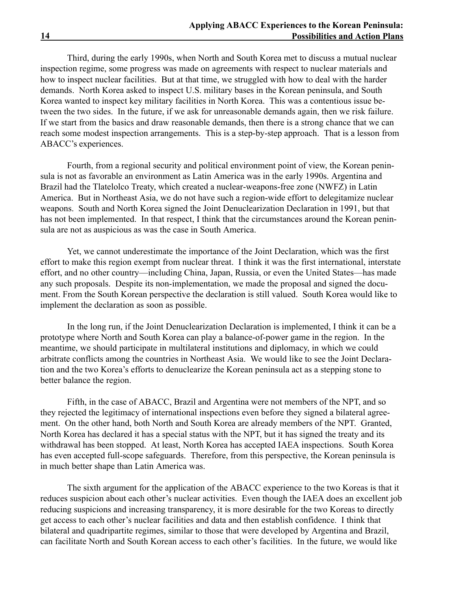Third, during the early 1990s, when North and South Korea met to discuss a mutual nuclear inspection regime, some progress was made on agreements with respect to nuclear materials and how to inspect nuclear facilities. But at that time, we struggled with how to deal with the harder demands. North Korea asked to inspect U.S. military bases in the Korean peninsula, and South Korea wanted to inspect key military facilities in North Korea. This was a contentious issue between the two sides. In the future, if we ask for unreasonable demands again, then we risk failure. If we start from the basics and draw reasonable demands, then there is a strong chance that we can reach some modest inspection arrangements. This is a step-by-step approach. That is a lesson from ABACC's experiences.

Fourth, from a regional security and political environment point of view, the Korean peninsula is not as favorable an environment as Latin America was in the early 1990s. Argentina and Brazil had the Tlatelolco Treaty, which created a nuclear-weapons-free zone (NWFZ) in Latin America. But in Northeast Asia, we do not have such a region-wide effort to delegitamize nuclear weapons. South and North Korea signed the Joint Denuclearization Declaration in 1991, but that has not been implemented. In that respect, I think that the circumstances around the Korean peninsula are not as auspicious as was the case in South America.

Yet, we cannot underestimate the importance of the Joint Declaration, which was the first effort to make this region exempt from nuclear threat. I think it was the first international, interstate effort, and no other country—including China, Japan, Russia, or even the United States—has made any such proposals. Despite its non-implementation, we made the proposal and signed the document. From the South Korean perspective the declaration is still valued. South Korea would like to implement the declaration as soon as possible.

In the long run, if the Joint Denuclearization Declaration is implemented, I think it can be a prototype where North and South Korea can play a balance-of-power game in the region. In the meantime, we should participate in multilateral institutions and diplomacy, in which we could arbitrate conflicts among the countries in Northeast Asia. We would like to see the Joint Declaration and the two Koreaís efforts to denuclearize the Korean peninsula act as a stepping stone to better balance the region.

Fifth, in the case of ABACC, Brazil and Argentina were not members of the NPT, and so they rejected the legitimacy of international inspections even before they signed a bilateral agreement. On the other hand, both North and South Korea are already members of the NPT. Granted, North Korea has declared it has a special status with the NPT, but it has signed the treaty and its withdrawal has been stopped. At least, North Korea has accepted IAEA inspections. South Korea has even accepted full-scope safeguards. Therefore, from this perspective, the Korean peninsula is in much better shape than Latin America was.

The sixth argument for the application of the ABACC experience to the two Koreas is that it reduces suspicion about each other's nuclear activities. Even though the IAEA does an excellent job reducing suspicions and increasing transparency, it is more desirable for the two Koreas to directly get access to each other's nuclear facilities and data and then establish confidence. I think that bilateral and quadripartite regimes, similar to those that were developed by Argentina and Brazil, can facilitate North and South Korean access to each other's facilities. In the future, we would like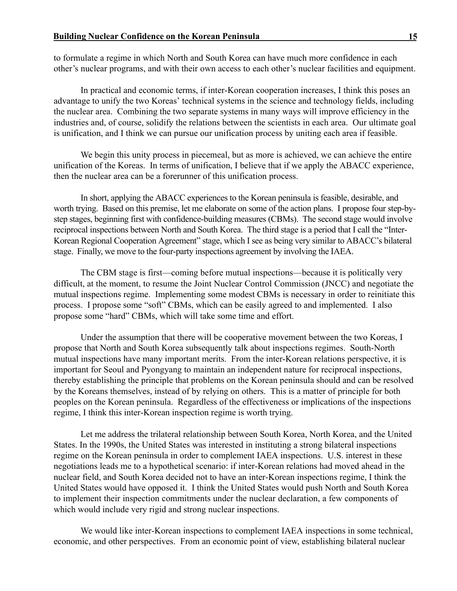to formulate a regime in which North and South Korea can have much more confidence in each other's nuclear programs, and with their own access to each other's nuclear facilities and equipment.

In practical and economic terms, if inter-Korean cooperation increases, I think this poses an advantage to unify the two Koreas' technical systems in the science and technology fields, including the nuclear area. Combining the two separate systems in many ways will improve efficiency in the industries and, of course, solidify the relations between the scientists in each area. Our ultimate goal is unification, and I think we can pursue our unification process by uniting each area if feasible.

We begin this unity process in piecemeal, but as more is achieved, we can achieve the entire unification of the Koreas. In terms of unification, I believe that if we apply the ABACC experience, then the nuclear area can be a forerunner of this unification process.

In short, applying the ABACC experiences to the Korean peninsula is feasible, desirable, and worth trying. Based on this premise, let me elaborate on some of the action plans. I propose four step-bystep stages, beginning first with confidence-building measures (CBMs). The second stage would involve reciprocal inspections between North and South Korea. The third stage is a period that I call the "Inter-Korean Regional Cooperation Agreement" stage, which I see as being very similar to ABACC's bilateral stage. Finally, we move to the four-party inspections agreement by involving the IAEA.

The CBM stage is first—coming before mutual inspections—because it is politically very difficult, at the moment, to resume the Joint Nuclear Control Commission (JNCC) and negotiate the mutual inspections regime. Implementing some modest CBMs is necessary in order to reinitiate this process. I propose some "soft" CBMs, which can be easily agreed to and implemented. I also propose some "hard" CBMs, which will take some time and effort.

Under the assumption that there will be cooperative movement between the two Koreas, I propose that North and South Korea subsequently talk about inspections regimes. South-North mutual inspections have many important merits. From the inter-Korean relations perspective, it is important for Seoul and Pyongyang to maintain an independent nature for reciprocal inspections, thereby establishing the principle that problems on the Korean peninsula should and can be resolved by the Koreans themselves, instead of by relying on others. This is a matter of principle for both peoples on the Korean peninsula. Regardless of the effectiveness or implications of the inspections regime, I think this inter-Korean inspection regime is worth trying.

Let me address the trilateral relationship between South Korea, North Korea, and the United States. In the 1990s, the United States was interested in instituting a strong bilateral inspections regime on the Korean peninsula in order to complement IAEA inspections. U.S. interest in these negotiations leads me to a hypothetical scenario: if inter-Korean relations had moved ahead in the nuclear field, and South Korea decided not to have an inter-Korean inspections regime, I think the United States would have opposed it. I think the United States would push North and South Korea to implement their inspection commitments under the nuclear declaration, a few components of which would include very rigid and strong nuclear inspections.

We would like inter-Korean inspections to complement IAEA inspections in some technical, economic, and other perspectives. From an economic point of view, establishing bilateral nuclear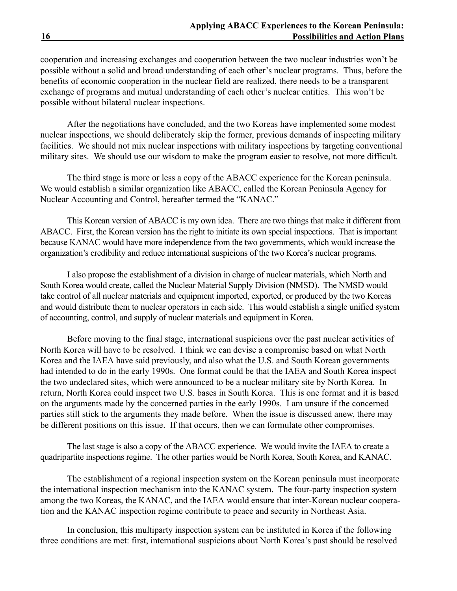cooperation and increasing exchanges and cooperation between the two nuclear industries won't be possible without a solid and broad understanding of each other's nuclear programs. Thus, before the benefits of economic cooperation in the nuclear field are realized, there needs to be a transparent exchange of programs and mutual understanding of each other's nuclear entities. This won't be possible without bilateral nuclear inspections.

After the negotiations have concluded, and the two Koreas have implemented some modest nuclear inspections, we should deliberately skip the former, previous demands of inspecting military facilities. We should not mix nuclear inspections with military inspections by targeting conventional military sites. We should use our wisdom to make the program easier to resolve, not more difficult.

The third stage is more or less a copy of the ABACC experience for the Korean peninsula. We would establish a similar organization like ABACC, called the Korean Peninsula Agency for Nuclear Accounting and Control, hereafter termed the "KANAC."

This Korean version of ABACC is my own idea. There are two things that make it different from ABACC. First, the Korean version has the right to initiate its own special inspections. That is important because KANAC would have more independence from the two governments, which would increase the organization's credibility and reduce international suspicions of the two Korea's nuclear programs.

I also propose the establishment of a division in charge of nuclear materials, which North and South Korea would create, called the Nuclear Material Supply Division (NMSD). The NMSD would take control of all nuclear materials and equipment imported, exported, or produced by the two Koreas and would distribute them to nuclear operators in each side. This would establish a single unified system of accounting, control, and supply of nuclear materials and equipment in Korea.

Before moving to the final stage, international suspicions over the past nuclear activities of North Korea will have to be resolved. I think we can devise a compromise based on what North Korea and the IAEA have said previously, and also what the U.S. and South Korean governments had intended to do in the early 1990s. One format could be that the IAEA and South Korea inspect the two undeclared sites, which were announced to be a nuclear military site by North Korea. In return, North Korea could inspect two U.S. bases in South Korea. This is one format and it is based on the arguments made by the concerned parties in the early 1990s. I am unsure if the concerned parties still stick to the arguments they made before. When the issue is discussed anew, there may be different positions on this issue. If that occurs, then we can formulate other compromises.

The last stage is also a copy of the ABACC experience. We would invite the IAEA to create a quadripartite inspections regime. The other parties would be North Korea, South Korea, and KANAC.

The establishment of a regional inspection system on the Korean peninsula must incorporate the international inspection mechanism into the KANAC system. The four-party inspection system among the two Koreas, the KANAC, and the IAEA would ensure that inter-Korean nuclear cooperation and the KANAC inspection regime contribute to peace and security in Northeast Asia.

In conclusion, this multiparty inspection system can be instituted in Korea if the following three conditions are met: first, international suspicions about North Korea's past should be resolved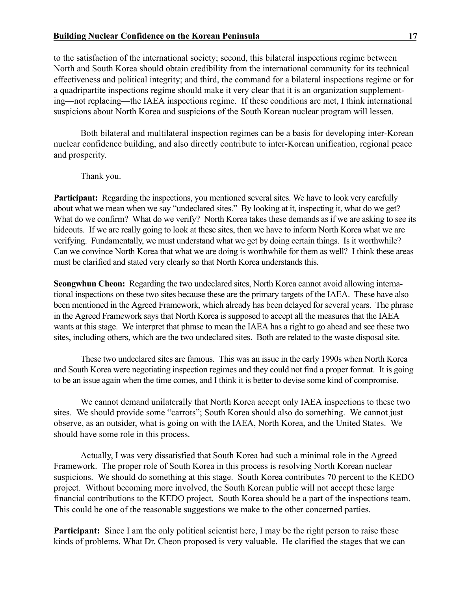to the satisfaction of the international society; second, this bilateral inspections regime between North and South Korea should obtain credibility from the international community for its technical effectiveness and political integrity; and third, the command for a bilateral inspections regime or for a quadripartite inspections regime should make it very clear that it is an organization supplementing—not replacing—the IAEA inspections regime. If these conditions are met, I think international suspicions about North Korea and suspicions of the South Korean nuclear program will lessen.

Both bilateral and multilateral inspection regimes can be a basis for developing inter-Korean nuclear confidence building, and also directly contribute to inter-Korean unification, regional peace and prosperity.

Thank you.

**Participant:** Regarding the inspections, you mentioned several sites. We have to look very carefully about what we mean when we say "undeclared sites." By looking at it, inspecting it, what do we get? What do we confirm? What do we verify? North Korea takes these demands as if we are asking to see its hideouts. If we are really going to look at these sites, then we have to inform North Korea what we are verifying. Fundamentally, we must understand what we get by doing certain things. Is it worthwhile? Can we convince North Korea that what we are doing is worthwhile for them as well? I think these areas must be clarified and stated very clearly so that North Korea understands this.

**Seongwhun Cheon:** Regarding the two undeclared sites, North Korea cannot avoid allowing international inspections on these two sites because these are the primary targets of the IAEA. These have also been mentioned in the Agreed Framework, which already has been delayed for several years. The phrase in the Agreed Framework says that North Korea is supposed to accept all the measures that the IAEA wants at this stage. We interpret that phrase to mean the IAEA has a right to go ahead and see these two sites, including others, which are the two undeclared sites. Both are related to the waste disposal site.

These two undeclared sites are famous. This was an issue in the early 1990s when North Korea and South Korea were negotiating inspection regimes and they could not find a proper format. It is going to be an issue again when the time comes, and I think it is better to devise some kind of compromise.

We cannot demand unilaterally that North Korea accept only IAEA inspections to these two sites. We should provide some "carrots"; South Korea should also do something. We cannot just observe, as an outsider, what is going on with the IAEA, North Korea, and the United States. We should have some role in this process.

Actually, I was very dissatisfied that South Korea had such a minimal role in the Agreed Framework. The proper role of South Korea in this process is resolving North Korean nuclear suspicions. We should do something at this stage. South Korea contributes 70 percent to the KEDO project. Without becoming more involved, the South Korean public will not accept these large financial contributions to the KEDO project. South Korea should be a part of the inspections team. This could be one of the reasonable suggestions we make to the other concerned parties.

**Participant:** Since I am the only political scientist here, I may be the right person to raise these kinds of problems. What Dr. Cheon proposed is very valuable. He clarified the stages that we can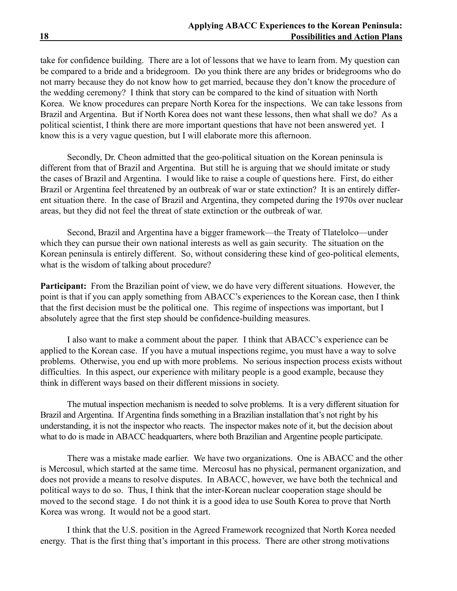take for confidence building. There are a lot of lessons that we have to learn from. My question can be compared to a bride and a bridegroom. Do you think there are any brides or bridegrooms who do not marry because they do not know how to get married, because they don't know the procedure of the wedding ceremony? I think that story can be compared to the kind of situation with North Korea. We know procedures can prepare North Korea for the inspections. We can take lessons from Brazil and Argentina. But if North Korea does not want these lessons, then what shall we do? As a political scientist, I think there are more important questions that have not been answered yet. I know this is a very vague question, but I will elaborate more this afternoon.

Secondly, Dr. Cheon admitted that the geo-political situation on the Korean peninsula is different from that of Brazil and Argentina. But still he is arguing that we should imitate or study the cases of Brazil and Argentina. I would like to raise a couple of questions here. First, do either Brazil or Argentina feel threatened by an outbreak of war or state extinction? It is an entirely different situation there. In the case of Brazil and Argentina, they competed during the 1970s over nuclear areas, but they did not feel the threat of state extinction or the outbreak of war.

Second, Brazil and Argentina have a bigger framework—the Treaty of Tlatelolco—under which they can pursue their own national interests as well as gain security. The situation on the Korean peninsula is entirely different. So, without considering these kind of geo-political elements, what is the wisdom of talking about procedure?

**Participant:** From the Brazilian point of view, we do have very different situations. However, the point is that if you can apply something from ABACC's experiences to the Korean case, then I think that the first decision must be the political one. This regime of inspections was important, but I absolutely agree that the first step should be confidence-building measures.

I also want to make a comment about the paper. I think that ABACC's experience can be applied to the Korean case. If you have a mutual inspections regime, you must have a way to solve problems. Otherwise, you end up with more problems. No serious inspection process exists without difficulties. In this aspect, our experience with military people is a good example, because they think in different ways based on their different missions in society.

The mutual inspection mechanism is needed to solve problems. It is a very different situation for Brazil and Argentina. If Argentina finds something in a Brazilian installation that's not right by his understanding, it is not the inspector who reacts. The inspector makes note of it, but the decision about what to do is made in ABACC headquarters, where both Brazilian and Argentine people participate.

There was a mistake made earlier. We have two organizations. One is ABACC and the other is Mercosul, which started at the same time. Mercosul has no physical, permanent organization, and does not provide a means to resolve disputes. In ABACC, however, we have both the technical and political ways to do so. Thus, I think that the inter-Korean nuclear cooperation stage should be moved to the second stage. I do not think it is a good idea to use South Korea to prove that North Korea was wrong. It would not be a good start.

I think that the U.S. position in the Agreed Framework recognized that North Korea needed energy. That is the first thing that's important in this process. There are other strong motivations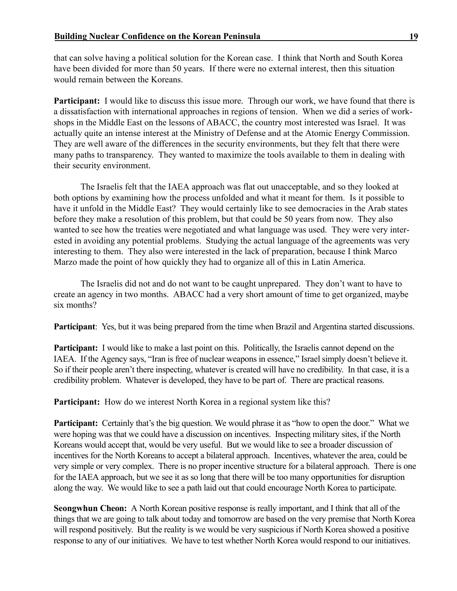that can solve having a political solution for the Korean case. I think that North and South Korea have been divided for more than 50 years. If there were no external interest, then this situation would remain between the Koreans.

**Participant:** I would like to discuss this issue more. Through our work, we have found that there is a dissatisfaction with international approaches in regions of tension. When we did a series of workshops in the Middle East on the lessons of ABACC, the country most interested was Israel. It was actually quite an intense interest at the Ministry of Defense and at the Atomic Energy Commission. They are well aware of the differences in the security environments, but they felt that there were many paths to transparency. They wanted to maximize the tools available to them in dealing with their security environment.

The Israelis felt that the IAEA approach was flat out unacceptable, and so they looked at both options by examining how the process unfolded and what it meant for them. Is it possible to have it unfold in the Middle East? They would certainly like to see democracies in the Arab states before they make a resolution of this problem, but that could be 50 years from now. They also wanted to see how the treaties were negotiated and what language was used. They were very interested in avoiding any potential problems. Studying the actual language of the agreements was very interesting to them. They also were interested in the lack of preparation, because I think Marco Marzo made the point of how quickly they had to organize all of this in Latin America.

The Israelis did not and do not want to be caught unprepared. They don't want to have to create an agency in two months. ABACC had a very short amount of time to get organized, maybe six months?

**Participant**: Yes, but it was being prepared from the time when Brazil and Argentina started discussions.

**Participant:** I would like to make a last point on this. Politically, the Israelis cannot depend on the IAEA. If the Agency says, "Iran is free of nuclear weapons in essence," Israel simply doesn't believe it. So if their people aren't there inspecting, whatever is created will have no credibility. In that case, it is a credibility problem. Whatever is developed, they have to be part of. There are practical reasons.

**Participant:** How do we interest North Korea in a regional system like this?

**Participant:** Certainly that's the big question. We would phrase it as "how to open the door." What we were hoping was that we could have a discussion on incentives. Inspecting military sites, if the North Koreans would accept that, would be very useful. But we would like to see a broader discussion of incentives for the North Koreans to accept a bilateral approach. Incentives, whatever the area, could be very simple or very complex. There is no proper incentive structure for a bilateral approach. There is one for the IAEA approach, but we see it as so long that there will be too many opportunities for disruption along the way. We would like to see a path laid out that could encourage North Korea to participate.

**Seongwhun Cheon:** A North Korean positive response is really important, and I think that all of the things that we are going to talk about today and tomorrow are based on the very premise that North Korea will respond positively. But the reality is we would be very suspicious if North Korea showed a positive response to any of our initiatives. We have to test whether North Korea would respond to our initiatives.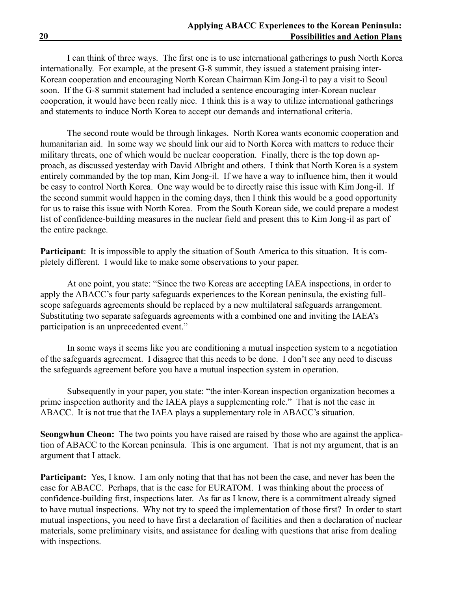I can think of three ways. The first one is to use international gatherings to push North Korea internationally. For example, at the present G-8 summit, they issued a statement praising inter-Korean cooperation and encouraging North Korean Chairman Kim Jong-il to pay a visit to Seoul soon. If the G-8 summit statement had included a sentence encouraging inter-Korean nuclear cooperation, it would have been really nice. I think this is a way to utilize international gatherings and statements to induce North Korea to accept our demands and international criteria.

The second route would be through linkages. North Korea wants economic cooperation and humanitarian aid. In some way we should link our aid to North Korea with matters to reduce their military threats, one of which would be nuclear cooperation. Finally, there is the top down approach, as discussed yesterday with David Albright and others. I think that North Korea is a system entirely commanded by the top man, Kim Jong-il. If we have a way to influence him, then it would be easy to control North Korea. One way would be to directly raise this issue with Kim Jong-il. If the second summit would happen in the coming days, then I think this would be a good opportunity for us to raise this issue with North Korea. From the South Korean side, we could prepare a modest list of confidence-building measures in the nuclear field and present this to Kim Jong-il as part of the entire package.

**Participant**: It is impossible to apply the situation of South America to this situation. It is completely different. I would like to make some observations to your paper.

At one point, you state: "Since the two Koreas are accepting IAEA inspections, in order to apply the ABACC's four party safeguards experiences to the Korean peninsula, the existing fullscope safeguards agreements should be replaced by a new multilateral safeguards arrangement. Substituting two separate safeguards agreements with a combined one and inviting the IAEA's participation is an unprecedented event."

In some ways it seems like you are conditioning a mutual inspection system to a negotiation of the safeguards agreement. I disagree that this needs to be done. I don't see any need to discuss the safeguards agreement before you have a mutual inspection system in operation.

Subsequently in your paper, you state: "the inter-Korean inspection organization becomes a prime inspection authority and the IAEA plays a supplementing role." That is not the case in ABACC. It is not true that the IAEA plays a supplementary role in ABACC's situation.

**Seongwhun Cheon:** The two points you have raised are raised by those who are against the application of ABACC to the Korean peninsula. This is one argument. That is not my argument, that is an argument that I attack.

**Participant:** Yes, I know. I am only noting that that has not been the case, and never has been the case for ABACC. Perhaps, that is the case for EURATOM. I was thinking about the process of confidence-building first, inspections later. As far as I know, there is a commitment already signed to have mutual inspections. Why not try to speed the implementation of those first? In order to start mutual inspections, you need to have first a declaration of facilities and then a declaration of nuclear materials, some preliminary visits, and assistance for dealing with questions that arise from dealing with inspections.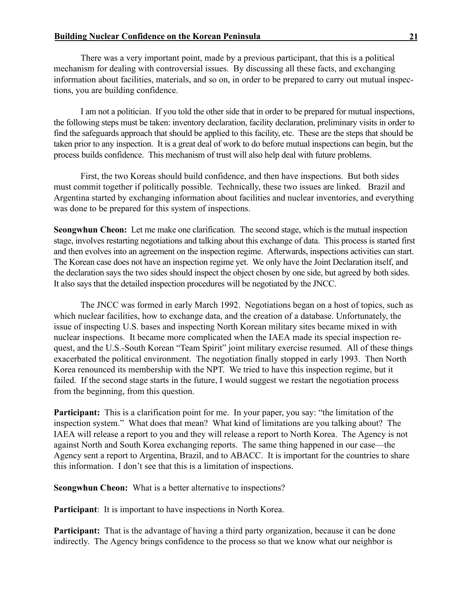There was a very important point, made by a previous participant, that this is a political mechanism for dealing with controversial issues. By discussing all these facts, and exchanging information about facilities, materials, and so on, in order to be prepared to carry out mutual inspections, you are building confidence.

I am not a politician. If you told the other side that in order to be prepared for mutual inspections, the following steps must be taken: inventory declaration, facility declaration, preliminary visits in order to find the safeguards approach that should be applied to this facility, etc. These are the steps that should be taken prior to any inspection. It is a great deal of work to do before mutual inspections can begin, but the process builds confidence. This mechanism of trust will also help deal with future problems.

First, the two Koreas should build confidence, and then have inspections. But both sides must commit together if politically possible. Technically, these two issues are linked. Brazil and Argentina started by exchanging information about facilities and nuclear inventories, and everything was done to be prepared for this system of inspections.

**Seongwhun Cheon:** Let me make one clarification. The second stage, which is the mutual inspection stage, involves restarting negotiations and talking about this exchange of data. This process is started first and then evolves into an agreement on the inspection regime. Afterwards, inspections activities can start. The Korean case does not have an inspection regime yet. We only have the Joint Declaration itself, and the declaration says the two sides should inspect the object chosen by one side, but agreed by both sides. It also says that the detailed inspection procedures will be negotiated by the JNCC.

The JNCC was formed in early March 1992. Negotiations began on a host of topics, such as which nuclear facilities, how to exchange data, and the creation of a database. Unfortunately, the issue of inspecting U.S. bases and inspecting North Korean military sites became mixed in with nuclear inspections. It became more complicated when the IAEA made its special inspection request, and the U.S.-South Korean "Team Spirit" joint military exercise resumed. All of these things exacerbated the political environment. The negotiation finally stopped in early 1993. Then North Korea renounced its membership with the NPT. We tried to have this inspection regime, but it failed. If the second stage starts in the future, I would suggest we restart the negotiation process from the beginning, from this question.

**Participant:** This is a clarification point for me. In your paper, you say: "the limitation of the inspection system." What does that mean? What kind of limitations are you talking about? The IAEA will release a report to you and they will release a report to North Korea. The Agency is not against North and South Korea exchanging reports. The same thing happened in our case—the Agency sent a report to Argentina, Brazil, and to ABACC. It is important for the countries to share this information. I don't see that this is a limitation of inspections.

**Seongwhun Cheon:** What is a better alternative to inspections?

**Participant**: It is important to have inspections in North Korea.

**Participant:** That is the advantage of having a third party organization, because it can be done indirectly. The Agency brings confidence to the process so that we know what our neighbor is